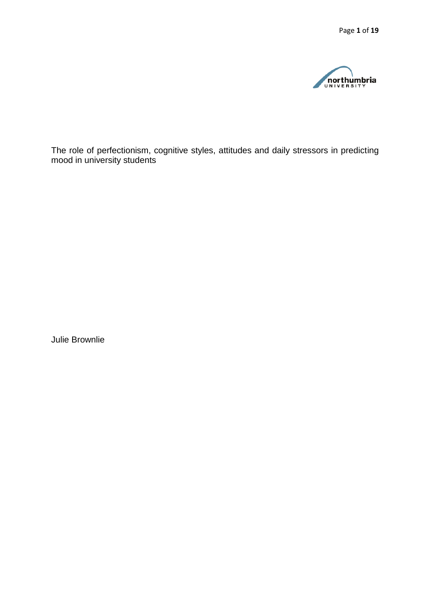

The role of perfectionism, cognitive styles, attitudes and daily stressors in predicting mood in university students

Julie Brownlie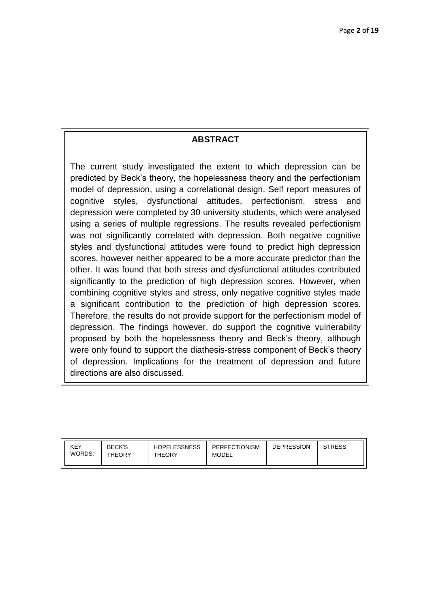# **ABSTRACT**

The current study investigated the extent to which depression can be predicted by Beck's theory, the hopelessness theory and the perfectionism model of depression, using a correlational design. Self report measures of cognitive styles, dysfunctional attitudes, perfectionism, stress and depression were completed by 30 university students, which were analysed using a series of multiple regressions. The results revealed perfectionism was not significantly correlated with depression. Both negative cognitive styles and dysfunctional attitudes were found to predict high depression scores, however neither appeared to be a more accurate predictor than the other. It was found that both stress and dysfunctional attitudes contributed significantly to the prediction of high depression scores. However, when combining cognitive styles and stress, only negative cognitive styles made a significant contribution to the prediction of high depression scores. Therefore, the results do not provide support for the perfectionism model of depression. The findings however, do support the cognitive vulnerability proposed by both the hopelessness theory and Beck's theory, although were only found to support the diathesis-stress component of Beck's theory of depression. Implications for the treatment of depression and future directions are also discussed.

| KEY<br>WORDS: | <b>BECK'S</b><br><b>THEORY</b> | <b>HOPELESSNESS</b><br>THEORY | PERFECTIONISM<br>MODEL | <b>DEPRESSION</b> | <b>STRESS</b> |
|---------------|--------------------------------|-------------------------------|------------------------|-------------------|---------------|
|               |                                |                               |                        |                   |               |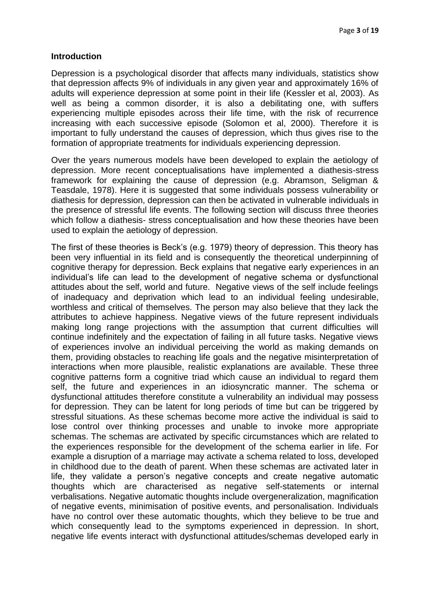#### **Introduction**

Depression is a psychological disorder that affects many individuals, statistics show that depression affects 9% of individuals in any given year and approximately 16% of adults will experience depression at some point in their life (Kessler et al, 2003). As well as being a common disorder, it is also a debilitating one, with suffers experiencing multiple episodes across their life time, with the risk of recurrence increasing with each successive episode (Solomon et al, 2000). Therefore it is important to fully understand the causes of depression, which thus gives rise to the formation of appropriate treatments for individuals experiencing depression.

Over the years numerous models have been developed to explain the aetiology of depression. More recent conceptualisations have implemented a diathesis-stress framework for explaining the cause of depression (e.g. Abramson, Seligman & Teasdale, 1978). Here it is suggested that some individuals possess vulnerability or diathesis for depression, depression can then be activated in vulnerable individuals in the presence of stressful life events. The following section will discuss three theories which follow a diathesis- stress conceptualisation and how these theories have been used to explain the aetiology of depression.

The first of these theories is Beck's (e.g. 1979) theory of depression. This theory has been very influential in its field and is consequently the theoretical underpinning of cognitive therapy for depression. Beck explains that negative early experiences in an individual's life can lead to the development of negative schema or dysfunctional attitudes about the self, world and future. Negative views of the self include feelings of inadequacy and deprivation which lead to an individual feeling undesirable, worthless and critical of themselves. The person may also believe that they lack the attributes to achieve happiness. Negative views of the future represent individuals making long range projections with the assumption that current difficulties will continue indefinitely and the expectation of failing in all future tasks. Negative views of experiences involve an individual perceiving the world as making demands on them, providing obstacles to reaching life goals and the negative misinterpretation of interactions when more plausible, realistic explanations are available. These three cognitive patterns form a cognitive triad which cause an individual to regard them self, the future and experiences in an idiosyncratic manner. The schema or dysfunctional attitudes therefore constitute a vulnerability an individual may possess for depression. They can be latent for long periods of time but can be triggered by stressful situations. As these schemas become more active the individual is said to lose control over thinking processes and unable to invoke more appropriate schemas. The schemas are activated by specific circumstances which are related to the experiences responsible for the development of the schema earlier in life. For example a disruption of a marriage may activate a schema related to loss, developed in childhood due to the death of parent. When these schemas are activated later in life, they validate a person's negative concepts and create negative automatic thoughts which are characterised as negative self-statements or internal verbalisations. Negative automatic thoughts include overgeneralization, magnification of negative events, minimisation of positive events, and personalisation. Individuals have no control over these automatic thoughts, which they believe to be true and which consequently lead to the symptoms experienced in depression. In short, negative life events interact with dysfunctional attitudes/schemas developed early in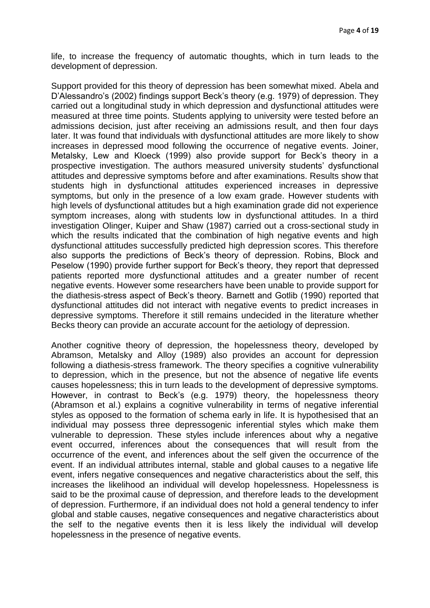life, to increase the frequency of automatic thoughts, which in turn leads to the development of depression.

Support provided for this theory of depression has been somewhat mixed. Abela and D'Alessandro's (2002) findings support Beck's theory (e.g. 1979) of depression. They carried out a longitudinal study in which depression and dysfunctional attitudes were measured at three time points. Students applying to university were tested before an admissions decision, just after receiving an admissions result, and then four days later. It was found that individuals with dysfunctional attitudes are more likely to show increases in depressed mood following the occurrence of negative events. Joiner, Metalsky, Lew and Kloeck (1999) also provide support for Beck's theory in a prospective investigation. The authors measured university students' dysfunctional attitudes and depressive symptoms before and after examinations. Results show that students high in dysfunctional attitudes experienced increases in depressive symptoms, but only in the presence of a low exam grade. However students with high levels of dysfunctional attitudes but a high examination grade did not experience symptom increases, along with students low in dysfunctional attitudes. In a third investigation Olinger, Kuiper and Shaw (1987) carried out a cross-sectional study in which the results indicated that the combination of high negative events and high dysfunctional attitudes successfully predicted high depression scores. This therefore also supports the predictions of Beck's theory of depression. Robins, Block and Peselow (1990) provide further support for Beck's theory, they report that depressed patients reported more dysfunctional attitudes and a greater number of recent negative events. However some researchers have been unable to provide support for the diathesis-stress aspect of Beck's theory. Barnett and Gotlib (1990) reported that dysfunctional attitudes did not interact with negative events to predict increases in depressive symptoms. Therefore it still remains undecided in the literature whether Becks theory can provide an accurate account for the aetiology of depression.

Another cognitive theory of depression, the hopelessness theory, developed by Abramson, Metalsky and Alloy (1989) also provides an account for depression following a diathesis-stress framework. The theory specifies a cognitive vulnerability to depression, which in the presence, but not the absence of negative life events causes hopelessness; this in turn leads to the development of depressive symptoms. However, in contrast to Beck's (e.g. 1979) theory, the hopelessness theory (Abramson et al.) explains a cognitive vulnerability in terms of negative inferential styles as opposed to the formation of schema early in life. It is hypothesised that an individual may possess three depressogenic inferential styles which make them vulnerable to depression. These styles include inferences about why a negative event occurred, inferences about the consequences that will result from the occurrence of the event, and inferences about the self given the occurrence of the event. If an individual attributes internal, stable and global causes to a negative life event, infers negative consequences and negative characteristics about the self, this increases the likelihood an individual will develop hopelessness. Hopelessness is said to be the proximal cause of depression, and therefore leads to the development of depression. Furthermore, if an individual does not hold a general tendency to infer global and stable causes, negative consequences and negative characteristics about the self to the negative events then it is less likely the individual will develop hopelessness in the presence of negative events.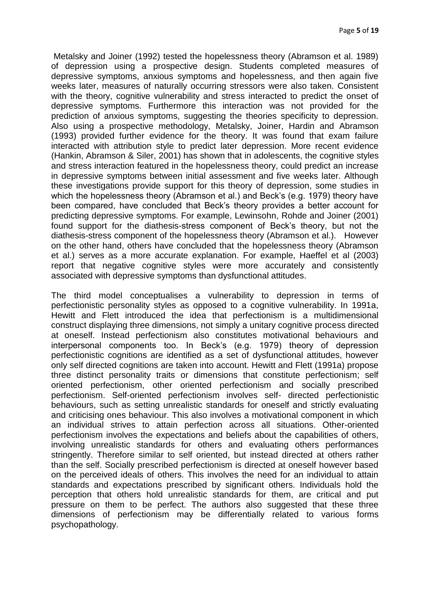Metalsky and Joiner (1992) tested the hopelessness theory (Abramson et al. 1989) of depression using a prospective design. Students completed measures of depressive symptoms, anxious symptoms and hopelessness, and then again five weeks later, measures of naturally occurring stressors were also taken. Consistent with the theory, cognitive vulnerability and stress interacted to predict the onset of depressive symptoms. Furthermore this interaction was not provided for the prediction of anxious symptoms, suggesting the theories specificity to depression. Also using a prospective methodology, Metalsky, Joiner, Hardin and Abramson (1993) provided further evidence for the theory. It was found that exam failure interacted with attribution style to predict later depression. More recent evidence (Hankin, Abramson & Siler, 2001) has shown that in adolescents, the cognitive styles and stress interaction featured in the hopelessness theory, could predict an increase in depressive symptoms between initial assessment and five weeks later. Although these investigations provide support for this theory of depression, some studies in which the hopelessness theory (Abramson et al.) and Beck's (e.g. 1979) theory have been compared, have concluded that Beck's theory provides a better account for predicting depressive symptoms. For example, Lewinsohn, Rohde and Joiner (2001) found support for the diathesis-stress component of Beck's theory, but not the diathesis-stress component of the hopelessness theory (Abramson et al.). However on the other hand, others have concluded that the hopelessness theory (Abramson et al.) serves as a more accurate explanation. For example, Haeffel et al (2003) report that negative cognitive styles were more accurately and consistently associated with depressive symptoms than dysfunctional attitudes.

The third model conceptualises a vulnerability to depression in terms of perfectionistic personality styles as opposed to a cognitive vulnerability. In 1991a, Hewitt and Flett introduced the idea that perfectionism is a multidimensional construct displaying three dimensions, not simply a unitary cognitive process directed at oneself. Instead perfectionism also constitutes motivational behaviours and interpersonal components too. In Beck's (e.g. 1979) theory of depression perfectionistic cognitions are identified as a set of dysfunctional attitudes, however only self directed cognitions are taken into account. Hewitt and Flett (1991a) propose three distinct personality traits or dimensions that constitute perfectionism; self oriented perfectionism, other oriented perfectionism and socially prescribed perfectionism. Self-oriented perfectionism involves self- directed perfectionistic behaviours, such as setting unrealistic standards for oneself and strictly evaluating and criticising ones behaviour. This also involves a motivational component in which an individual strives to attain perfection across all situations. Other-oriented perfectionism involves the expectations and beliefs about the capabilities of others, involving unrealistic standards for others and evaluating others performances stringently. Therefore similar to self oriented, but instead directed at others rather than the self. Socially prescribed perfectionism is directed at oneself however based on the perceived ideals of others. This involves the need for an individual to attain standards and expectations prescribed by significant others. Individuals hold the perception that others hold unrealistic standards for them, are critical and put pressure on them to be perfect. The authors also suggested that these three dimensions of perfectionism may be differentially related to various forms psychopathology.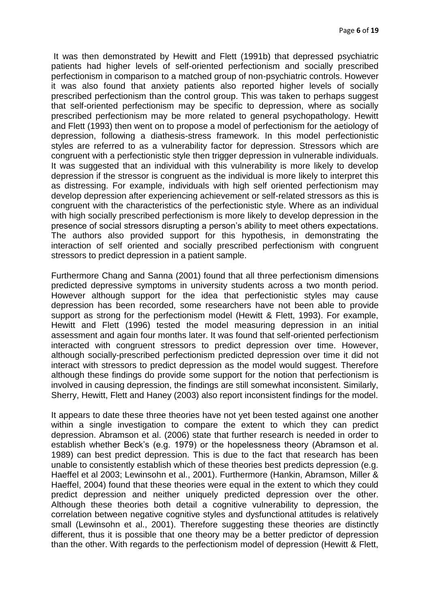It was then demonstrated by Hewitt and Flett (1991b) that depressed psychiatric patients had higher levels of self-oriented perfectionism and socially prescribed perfectionism in comparison to a matched group of non-psychiatric controls. However it was also found that anxiety patients also reported higher levels of socially prescribed perfectionism than the control group. This was taken to perhaps suggest that self-oriented perfectionism may be specific to depression, where as socially prescribed perfectionism may be more related to general psychopathology. Hewitt and Flett (1993) then went on to propose a model of perfectionism for the aetiology of depression, following a diathesis-stress framework. In this model perfectionistic styles are referred to as a vulnerability factor for depression. Stressors which are congruent with a perfectionistic style then trigger depression in vulnerable individuals. It was suggested that an individual with this vulnerability is more likely to develop depression if the stressor is congruent as the individual is more likely to interpret this as distressing. For example, individuals with high self oriented perfectionism may develop depression after experiencing achievement or self-related stressors as this is congruent with the characteristics of the perfectionistic style. Where as an individual with high socially prescribed perfectionism is more likely to develop depression in the presence of social stressors disrupting a person's ability to meet others expectations. The authors also provided support for this hypothesis, in demonstrating the interaction of self oriented and socially prescribed perfectionism with congruent stressors to predict depression in a patient sample.

Furthermore Chang and Sanna (2001) found that all three perfectionism dimensions predicted depressive symptoms in university students across a two month period. However although support for the idea that perfectionistic styles may cause depression has been recorded, some researchers have not been able to provide support as strong for the perfectionism model (Hewitt & Flett, 1993). For example, Hewitt and Flett (1996) tested the model measuring depression in an initial assessment and again four months later. It was found that self-oriented perfectionism interacted with congruent stressors to predict depression over time. However, although socially-prescribed perfectionism predicted depression over time it did not interact with stressors to predict depression as the model would suggest. Therefore although these findings do provide some support for the notion that perfectionism is involved in causing depression, the findings are still somewhat inconsistent. Similarly, Sherry, Hewitt, Flett and Haney (2003) also report inconsistent findings for the model.

It appears to date these three theories have not yet been tested against one another within a single investigation to compare the extent to which they can predict depression. Abramson et al. (2006) state that further research is needed in order to establish whether Beck's (e.g. 1979) or the hopelessness theory (Abramson et al. 1989) can best predict depression. This is due to the fact that research has been unable to consistently establish which of these theories best predicts depression (e.g. Haeffel et al 2003; Lewinsohn et al., 2001). Furthermore (Hankin, Abramson, Miller & Haeffel, 2004) found that these theories were equal in the extent to which they could predict depression and neither uniquely predicted depression over the other. Although these theories both detail a cognitive vulnerability to depression, the correlation between negative cognitive styles and dysfunctional attitudes is relatively small (Lewinsohn et al., 2001). Therefore suggesting these theories are distinctly different, thus it is possible that one theory may be a better predictor of depression than the other. With regards to the perfectionism model of depression (Hewitt & Flett,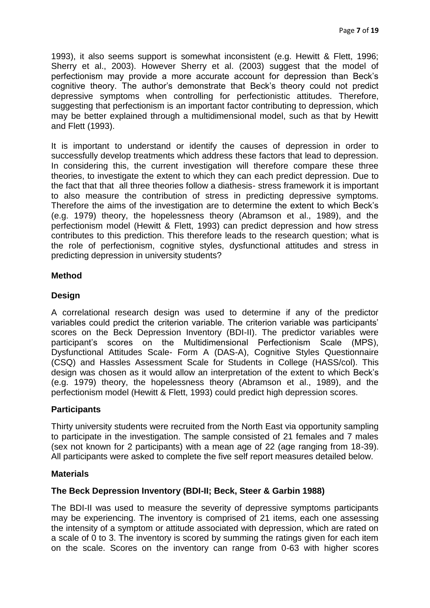1993), it also seems support is somewhat inconsistent (e.g. Hewitt & Flett, 1996; Sherry et al., 2003). However Sherry et al. (2003) suggest that the model of perfectionism may provide a more accurate account for depression than Beck's cognitive theory. The author's demonstrate that Beck's theory could not predict depressive symptoms when controlling for perfectionistic attitudes. Therefore, suggesting that perfectionism is an important factor contributing to depression, which may be better explained through a multidimensional model, such as that by Hewitt and Flett (1993).

It is important to understand or identify the causes of depression in order to successfully develop treatments which address these factors that lead to depression. In considering this, the current investigation will therefore compare these three theories, to investigate the extent to which they can each predict depression. Due to the fact that that all three theories follow a diathesis- stress framework it is important to also measure the contribution of stress in predicting depressive symptoms. Therefore the aims of the investigation are to determine the extent to which Beck's (e.g. 1979) theory, the hopelessness theory (Abramson et al., 1989), and the perfectionism model (Hewitt & Flett, 1993) can predict depression and how stress contributes to this prediction. This therefore leads to the research question; what is the role of perfectionism, cognitive styles, dysfunctional attitudes and stress in predicting depression in university students?

## **Method**

## **Design**

A correlational research design was used to determine if any of the predictor variables could predict the criterion variable. The criterion variable was participants' scores on the Beck Depression Inventory (BDI-II). The predictor variables were participant's scores on the Multidimensional Perfectionism Scale (MPS), Dysfunctional Attitudes Scale- Form A (DAS-A), Cognitive Styles Questionnaire (CSQ) and Hassles Assessment Scale for Students in College (HASS/col). This design was chosen as it would allow an interpretation of the extent to which Beck's (e.g. 1979) theory, the hopelessness theory (Abramson et al., 1989), and the perfectionism model (Hewitt & Flett, 1993) could predict high depression scores.

## **Participants**

Thirty university students were recruited from the North East via opportunity sampling to participate in the investigation. The sample consisted of 21 females and 7 males (sex not known for 2 participants) with a mean age of 22 (age ranging from 18-39). All participants were asked to complete the five self report measures detailed below.

## **Materials**

## **The Beck Depression Inventory (BDI-II; Beck, Steer & Garbin 1988)**

The BDI-II was used to measure the severity of depressive symptoms participants may be experiencing. The inventory is comprised of 21 items, each one assessing the intensity of a symptom or attitude associated with depression, which are rated on a scale of 0 to 3. The inventory is scored by summing the ratings given for each item on the scale. Scores on the inventory can range from 0-63 with higher scores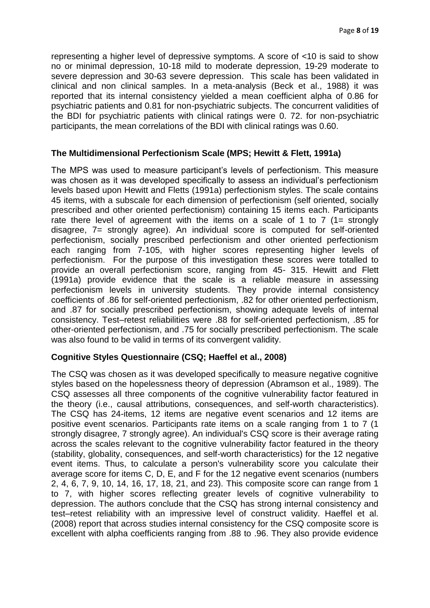representing a higher level of depressive symptoms. A score of <10 is said to show no or minimal depression, 10-18 mild to moderate depression, 19-29 moderate to severe depression and 30-63 severe depression. This scale has been validated in clinical and non clinical samples. In a meta-analysis (Beck et al., 1988) it was reported that its internal consistency yielded a mean coefficient alpha of 0.86 for psychiatric patients and 0.81 for non-psychiatric subjects. The concurrent validities of the BDI for psychiatric patients with clinical ratings were 0. 72. for non-psychiatric participants, the mean correlations of the BDI with clinical ratings was 0.60.

#### **The Multidimensional Perfectionism Scale (MPS; Hewitt & Flett, 1991a)**

The MPS was used to measure participant's levels of perfectionism. This measure was chosen as it was developed specifically to assess an individual's perfectionism levels based upon Hewitt and Fletts (1991a) perfectionism styles. The scale contains 45 items, with a subscale for each dimension of perfectionism (self oriented, socially prescribed and other oriented perfectionism) containing 15 items each. Participants rate there level of agreement with the items on a scale of 1 to 7 (1= strongly disagree, 7= strongly agree). An individual score is computed for self-oriented perfectionism, socially prescribed perfectionism and other oriented perfectionism each ranging from 7-105, with higher scores representing higher levels of perfectionism. For the purpose of this investigation these scores were totalled to provide an overall perfectionism score, ranging from 45- 315. Hewitt and Flett (1991a) provide evidence that the scale is a reliable measure in assessing perfectionism levels in university students. They provide internal consistency coefficients of .86 for self-oriented perfectionism, .82 for other oriented perfectionism, and .87 for socially prescribed perfectionism, showing adequate levels of internal consistency. Test–retest reliabilities were .88 for self-oriented perfectionism, .85 for other-oriented perfectionism, and .75 for socially prescribed perfectionism. The scale was also found to be valid in terms of its convergent validity.

## **Cognitive Styles Questionnaire (CSQ; Haeffel et al., 2008)**

The CSQ was chosen as it was developed specifically to measure negative cognitive styles based on the hopelessness theory of depression (Abramson et al., 1989). The CSQ assesses all three components of the cognitive vulnerability factor featured in the theory (i.e., causal attributions, consequences, and self-worth characteristics). The CSQ has 24-items, 12 items are negative event scenarios and 12 items are positive event scenarios. Participants rate items on a scale ranging from 1 to 7 (1 strongly disagree, 7 strongly agree). An individual's CSQ score is their average rating across the scales relevant to the cognitive vulnerability factor featured in the theory (stability, globality, consequences, and self-worth characteristics) for the 12 negative event items. Thus, to calculate a person's vulnerability score you calculate their average score for items C, D, E, and F for the 12 negative event scenarios (numbers 2, 4, 6, 7, 9, 10, 14, 16, 17, 18, 21, and 23). This composite score can range from 1 to 7, with higher scores reflecting greater levels of cognitive vulnerability to depression. The authors conclude that the CSQ has strong internal consistency and test–retest reliability with an impressive level of construct validity. Haeffel et al. (2008) report that across studies internal consistency for the CSQ composite score is excellent with alpha coefficients ranging from .88 to .96. They also provide evidence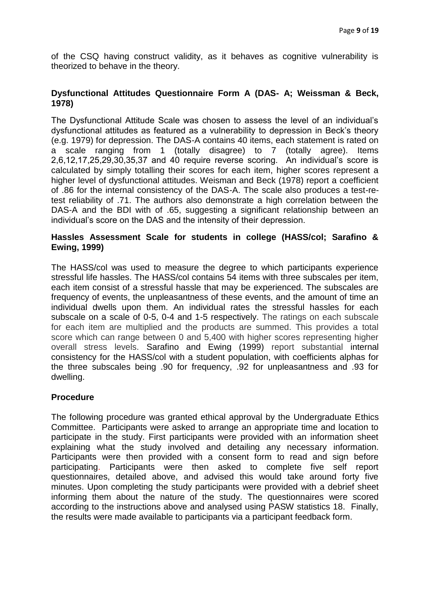of the CSQ having construct validity, as it behaves as cognitive vulnerability is theorized to behave in the theory.

## **Dysfunctional Attitudes Questionnaire Form A (DAS- A; Weissman & Beck, 1978)**

The Dysfunctional Attitude Scale was chosen to assess the level of an individual's dysfunctional attitudes as featured as a vulnerability to depression in Beck's theory (e.g. 1979) for depression. The DAS-A contains 40 items, each statement is rated on a scale ranging from 1 (totally disagree) to 7 (totally agree). Items 2,6,12,17,25,29,30,35,37 and 40 require reverse scoring. An individual's score is calculated by simply totalling their scores for each item, higher scores represent a higher level of dysfunctional attitudes. Weisman and Beck (1978) report a coefficient of .86 for the internal consistency of the DAS-A. The scale also produces a test-retest reliability of .71. The authors also demonstrate a high correlation between the DAS-A and the BDI with of .65, suggesting a significant relationship between an individual's score on the DAS and the intensity of their depression.

#### **Hassles Assessment Scale for students in college (HASS/col; Sarafino & Ewing, 1999)**

The HASS/col was used to measure the degree to which participants experience stressful life hassles. The HASS/col contains 54 items with three subscales per item, each item consist of a stressful hassle that may be experienced. The subscales are frequency of events, the unpleasantness of these events, and the amount of time an individual dwells upon them. An individual rates the stressful hassles for each subscale on a scale of 0-5, 0-4 and 1-5 respectively. The ratings on each subscale for each item are multiplied and the products are summed. This provides a total score which can range between 0 and 5,400 with higher scores representing higher overall stress levels. Sarafino and Ewing (1999) report substantial internal consistency for the HASS/col with a student population, with coefficients alphas for the three subscales being .90 for frequency, .92 for unpleasantness and .93 for dwelling.

## **Procedure**

The following procedure was granted ethical approval by the Undergraduate Ethics Committee. Participants were asked to arrange an appropriate time and location to participate in the study. First participants were provided with an information sheet explaining what the study involved and detailing any necessary information. Participants were then provided with a consent form to read and sign before participating. Participants were then asked to complete five self report questionnaires, detailed above, and advised this would take around forty five minutes. Upon completing the study participants were provided with a debrief sheet informing them about the nature of the study. The questionnaires were scored according to the instructions above and analysed using PASW statistics 18. Finally, the results were made available to participants via a participant feedback form.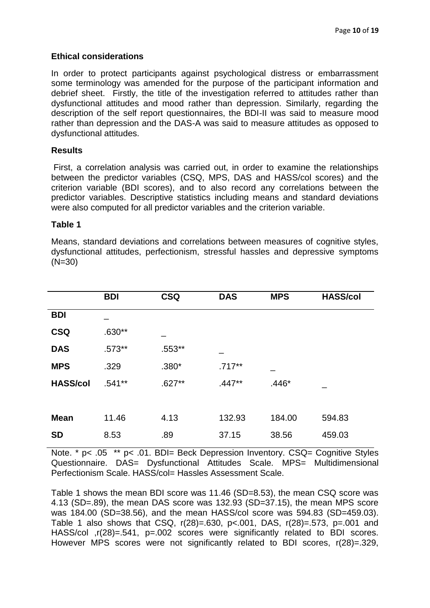#### **Ethical considerations**

In order to protect participants against psychological distress or embarrassment some terminology was amended for the purpose of the participant information and debrief sheet. Firstly, the title of the investigation referred to attitudes rather than dysfunctional attitudes and mood rather than depression. Similarly, regarding the description of the self report questionnaires, the BDI-II was said to measure mood rather than depression and the DAS-A was said to measure attitudes as opposed to dysfunctional attitudes.

#### **Results**

First, a correlation analysis was carried out, in order to examine the relationships between the predictor variables (CSQ, MPS, DAS and HASS/col scores) and the criterion variable (BDI scores), and to also record any correlations between the predictor variables. Descriptive statistics including means and standard deviations were also computed for all predictor variables and the criterion variable.

#### **Table 1**

Means, standard deviations and correlations between measures of cognitive styles, dysfunctional attitudes, perfectionism, stressful hassles and depressive symptoms (N=30)

| <b>CSQ</b><br><b>DAS</b><br><b>MPS</b><br><b>HASS/col</b><br><b>BDI</b> |  |
|-------------------------------------------------------------------------|--|
| <b>BDI</b>                                                              |  |
| <b>CSQ</b><br>$.630**$                                                  |  |
| <b>DAS</b><br>$.573**$<br>.553**                                        |  |
| <b>MPS</b><br>$.380*$<br>$.717**$<br>.329                               |  |
| $.541**$<br>$.627**$<br><b>HASS/col</b><br>$.447**$<br>$.446*$          |  |
|                                                                         |  |
| 11.46<br>4.13<br>132.93<br>184.00<br><b>Mean</b><br>594.83              |  |
| <b>SD</b><br>.89<br>8.53<br>37.15<br>38.56<br>459.03                    |  |

Note. \* p< .05 \*\* p< .01. BDI= Beck Depression Inventory. CSQ= Cognitive Styles Questionnaire. DAS= Dysfunctional Attitudes Scale. MPS= Multidimensional Perfectionism Scale. HASS/col= Hassles Assessment Scale.

Table 1 shows the mean BDI score was 11.46 (SD=8.53), the mean CSQ score was 4.13 (SD=.89), the mean DAS score was 132.93 (SD=37.15), the mean MPS score was 184.00 (SD=38.56), and the mean HASS/col score was 594.83 (SD=459.03). Table 1 also shows that CSQ, r(28)=.630, p<.001, DAS, r(28)=.573, p=.001 and HASS/col ,r(28)=.541, p=.002 scores were significantly related to BDI scores. However MPS scores were not significantly related to BDI scores, r(28)=.329,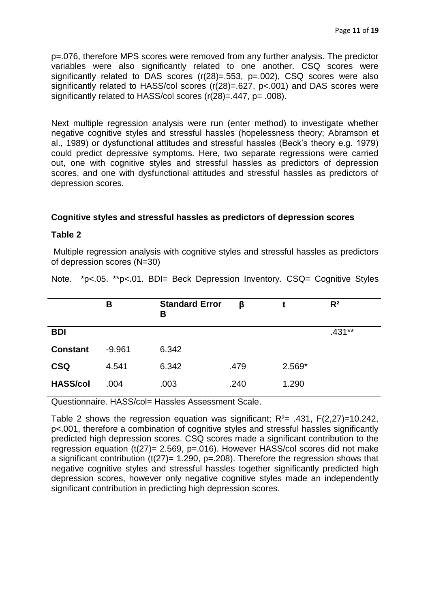p=.076, therefore MPS scores were removed from any further analysis. The predictor variables were also significantly related to one another. CSQ scores were significantly related to DAS scores (r(28)=.553, p=.002), CSQ scores were also significantly related to HASS/col scores (r(28)=.627, p<.001) and DAS scores were significantly related to HASS/col scores (r(28)=.447, p= .008).

Next multiple regression analysis were run (enter method) to investigate whether negative cognitive styles and stressful hassles (hopelessness theory; Abramson et al., 1989) or dysfunctional attitudes and stressful hassles (Beck's theory e.g. 1979) could predict depressive symptoms. Here, two separate regressions were carried out, one with cognitive styles and stressful hassles as predictors of depression scores, and one with dysfunctional attitudes and stressful hassles as predictors of depression scores.

## **Cognitive styles and stressful hassles as predictors of depression scores**

#### **Table 2**

Multiple regression analysis with cognitive styles and stressful hassles as predictors of depression scores (N=30)

Note. \*p<.05. \*\*p<.01. BDI= Beck Depression Inventory. CSQ= Cognitive Styles

|                 | В        | <b>Standard Error</b><br>в | β    |          | $R^2$    |
|-----------------|----------|----------------------------|------|----------|----------|
| <b>BDI</b>      |          |                            |      |          | $.431**$ |
| <b>Constant</b> | $-9.961$ | 6.342                      |      |          |          |
| <b>CSQ</b>      | 4.541    | 6.342                      | .479 | $2.569*$ |          |
| <b>HASS/col</b> | .004     | .003                       | .240 | 1.290    |          |

Questionnaire. HASS/col= Hassles Assessment Scale.

Table 2 shows the regression equation was significant;  $R<sup>2</sup>= .431$ ,  $F(2,27)=10.242$ , p<.001, therefore a combination of cognitive styles and stressful hassles significantly predicted high depression scores. CSQ scores made a significant contribution to the regression equation ( $t(27)$ = 2.569, p=.016). However HASS/col scores did not make a significant contribution  $(t(27)= 1.290, p=.208)$ . Therefore the regression shows that negative cognitive styles and stressful hassles together significantly predicted high depression scores, however only negative cognitive styles made an independently significant contribution in predicting high depression scores.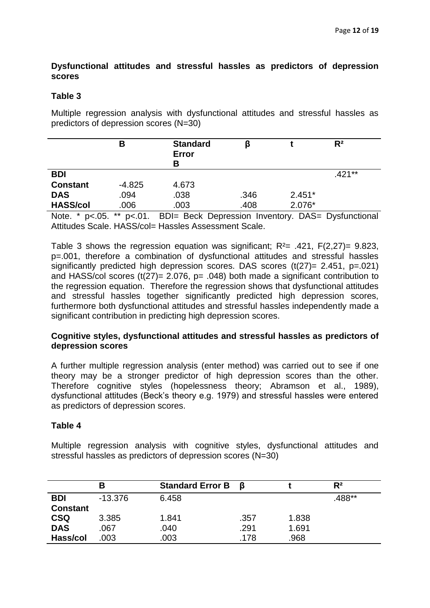## **Dysfunctional attitudes and stressful hassles as predictors of depression scores**

## **Table 3**

Multiple regression analysis with dysfunctional attitudes and stressful hassles as predictors of depression scores (N=30)

|                 | В        | <b>Standard</b><br>Error<br>В |      |          | $R^2$  |  |
|-----------------|----------|-------------------------------|------|----------|--------|--|
| <b>BDI</b>      |          |                               |      |          | .421** |  |
| <b>Constant</b> | $-4.825$ | 4.673                         |      |          |        |  |
| <b>DAS</b>      | .094     | .038                          | .346 | $2.451*$ |        |  |
| <b>HASS/col</b> | .006     | .003                          | .408 | 2.076*   |        |  |
|                 |          |                               |      |          |        |  |

Note. \* p<.05. \*\* p<.01. BDI= Beck Depression Inventory. DAS= Dysfunctional Attitudes Scale. HASS/col= Hassles Assessment Scale.

Table 3 shows the regression equation was significant;  $R^2$  = .421,  $F(2,27)$  = 9.823, p=.001, therefore a combination of dysfunctional attitudes and stressful hassles significantly predicted high depression scores. DAS scores  $(t(27)= 2.451, p=.021)$ and HASS/col scores ( $t(27)$ = 2.076, p= .048) both made a significant contribution to the regression equation. Therefore the regression shows that dysfunctional attitudes and stressful hassles together significantly predicted high depression scores, furthermore both dysfunctional attitudes and stressful hassles independently made a significant contribution in predicting high depression scores.

#### **Cognitive styles, dysfunctional attitudes and stressful hassles as predictors of depression scores**

A further multiple regression analysis (enter method) was carried out to see if one theory may be a stronger predictor of high depression scores than the other. Therefore cognitive styles (hopelessness theory; Abramson et al., 1989), dysfunctional attitudes (Beck's theory e.g. 1979) and stressful hassles were entered as predictors of depression scores.

#### **Table 4**

Multiple regression analysis with cognitive styles, dysfunctional attitudes and stressful hassles as predictors of depression scores (N=30)

|                 | в         | <b>Standard Error B</b> | - 6  |       | $R^2$  |
|-----------------|-----------|-------------------------|------|-------|--------|
| <b>BDI</b>      | $-13.376$ | 6.458                   |      |       | .488** |
| <b>Constant</b> |           |                         |      |       |        |
| <b>CSQ</b>      | 3.385     | 1.841                   | .357 | 1.838 |        |
| <b>DAS</b>      | .067      | .040                    | .291 | 1.691 |        |
| Hass/col        | .003      | .003                    | .178 | .968  |        |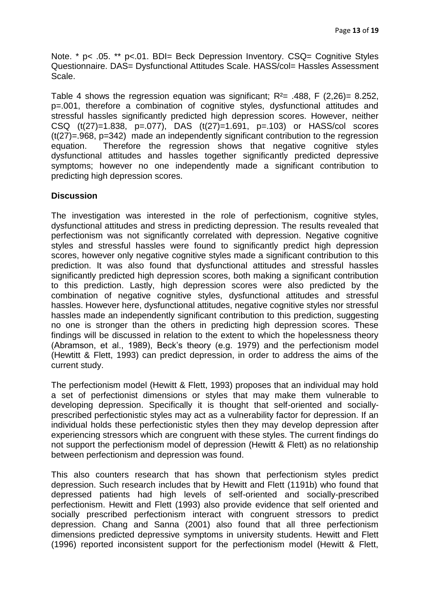Note. \* p< .05. \*\* p<.01. BDI= Beck Depression Inventory. CSQ= Cognitive Styles Questionnaire. DAS= Dysfunctional Attitudes Scale. HASS/col= Hassles Assessment Scale.

Table 4 shows the regression equation was significant;  $R^2$  = .488, F (2,26) = 8.252, p=.001, therefore a combination of cognitive styles, dysfunctional attitudes and stressful hassles significantly predicted high depression scores. However, neither CSQ (t(27)=1.838, p=.077), DAS (t(27)=1.691, p=.103) or HASS/col scores (t(27)=.968, p=342) made an independently significant contribution to the regression equation. Therefore the regression shows that negative cognitive styles dysfunctional attitudes and hassles together significantly predicted depressive symptoms; however no one independently made a significant contribution to predicting high depression scores.

## **Discussion**

The investigation was interested in the role of perfectionism, cognitive styles, dysfunctional attitudes and stress in predicting depression. The results revealed that perfectionism was not significantly correlated with depression. Negative cognitive styles and stressful hassles were found to significantly predict high depression scores, however only negative cognitive styles made a significant contribution to this prediction. It was also found that dysfunctional attitudes and stressful hassles significantly predicted high depression scores, both making a significant contribution to this prediction. Lastly, high depression scores were also predicted by the combination of negative cognitive styles, dysfunctional attitudes and stressful hassles. However here, dysfunctional attitudes, negative cognitive styles nor stressful hassles made an independently significant contribution to this prediction, suggesting no one is stronger than the others in predicting high depression scores. These findings will be discussed in relation to the extent to which the hopelessness theory (Abramson, et al., 1989), Beck's theory (e.g. 1979) and the perfectionism model (Hewtitt & Flett, 1993) can predict depression, in order to address the aims of the current study.

The perfectionism model (Hewitt & Flett, 1993) proposes that an individual may hold a set of perfectionist dimensions or styles that may make them vulnerable to developing depression. Specifically it is thought that self-oriented and sociallyprescribed perfectionistic styles may act as a vulnerability factor for depression. If an individual holds these perfectionistic styles then they may develop depression after experiencing stressors which are congruent with these styles. The current findings do not support the perfectionism model of depression (Hewitt & Flett) as no relationship between perfectionism and depression was found.

This also counters research that has shown that perfectionism styles predict depression. Such research includes that by Hewitt and Flett (1191b) who found that depressed patients had high levels of self-oriented and socially-prescribed perfectionism. Hewitt and Flett (1993) also provide evidence that self oriented and socially prescribed perfectionism interact with congruent stressors to predict depression. Chang and Sanna (2001) also found that all three perfectionism dimensions predicted depressive symptoms in university students. Hewitt and Flett (1996) reported inconsistent support for the perfectionism model (Hewitt & Flett,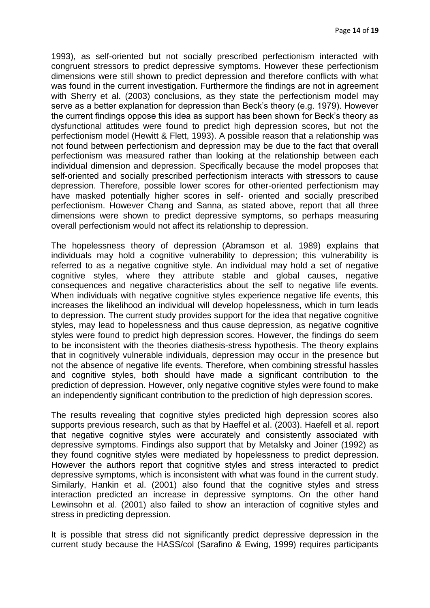1993), as self-oriented but not socially prescribed perfectionism interacted with congruent stressors to predict depressive symptoms. However these perfectionism dimensions were still shown to predict depression and therefore conflicts with what was found in the current investigation. Furthermore the findings are not in agreement with Sherry et al. (2003) conclusions, as they state the perfectionism model may serve as a better explanation for depression than Beck's theory (e.g. 1979). However the current findings oppose this idea as support has been shown for Beck's theory as dysfunctional attitudes were found to predict high depression scores, but not the perfectionism model (Hewitt & Flett, 1993). A possible reason that a relationship was not found between perfectionism and depression may be due to the fact that overall perfectionism was measured rather than looking at the relationship between each individual dimension and depression. Specifically because the model proposes that self-oriented and socially prescribed perfectionism interacts with stressors to cause depression. Therefore, possible lower scores for other-oriented perfectionism may have masked potentially higher scores in self- oriented and socially prescribed perfectionism. However Chang and Sanna, as stated above, report that all three dimensions were shown to predict depressive symptoms, so perhaps measuring overall perfectionism would not affect its relationship to depression.

The hopelessness theory of depression (Abramson et al. 1989) explains that individuals may hold a cognitive vulnerability to depression; this vulnerability is referred to as a negative cognitive style. An individual may hold a set of negative cognitive styles, where they attribute stable and global causes, negative consequences and negative characteristics about the self to negative life events. When individuals with negative cognitive styles experience negative life events, this increases the likelihood an individual will develop hopelessness, which in turn leads to depression. The current study provides support for the idea that negative cognitive styles, may lead to hopelessness and thus cause depression, as negative cognitive styles were found to predict high depression scores. However, the findings do seem to be inconsistent with the theories diathesis-stress hypothesis. The theory explains that in cognitively vulnerable individuals, depression may occur in the presence but not the absence of negative life events. Therefore, when combining stressful hassles and cognitive styles, both should have made a significant contribution to the prediction of depression. However, only negative cognitive styles were found to make an independently significant contribution to the prediction of high depression scores.

The results revealing that cognitive styles predicted high depression scores also supports previous research, such as that by Haeffel et al. (2003). Haefell et al. report that negative cognitive styles were accurately and consistently associated with depressive symptoms. Findings also support that by Metalsky and Joiner (1992) as they found cognitive styles were mediated by hopelessness to predict depression. However the authors report that cognitive styles and stress interacted to predict depressive symptoms, which is inconsistent with what was found in the current study. Similarly, Hankin et al. (2001) also found that the cognitive styles and stress interaction predicted an increase in depressive symptoms. On the other hand Lewinsohn et al. (2001) also failed to show an interaction of cognitive styles and stress in predicting depression.

It is possible that stress did not significantly predict depressive depression in the current study because the HASS/col (Sarafino & Ewing, 1999) requires participants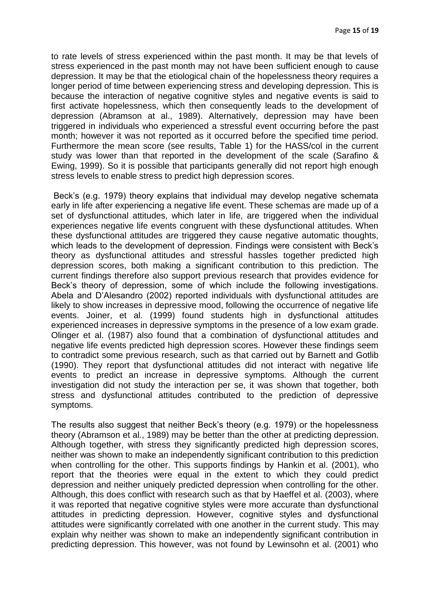to rate levels of stress experienced within the past month. It may be that levels of stress experienced in the past month may not have been sufficient enough to cause depression. It may be that the etiological chain of the hopelessness theory requires a longer period of time between experiencing stress and developing depression. This is because the interaction of negative cognitive styles and negative events is said to first activate hopelessness, which then consequently leads to the development of depression (Abramson at al., 1989). Alternatively, depression may have been triggered in individuals who experienced a stressful event occurring before the past month; however it was not reported as it occurred before the specified time period. Furthermore the mean score (see results, Table 1) for the HASS/col in the current study was lower than that reported in the development of the scale (Sarafino & Ewing, 1999). So it is possible that participants generally did not report high enough stress levels to enable stress to predict high depression scores.

Beck's (e.g. 1979) theory explains that individual may develop negative schemata early in life after experiencing a negative life event. These schemas are made up of a set of dysfunctional attitudes, which later in life, are triggered when the individual experiences negative life events congruent with these dysfunctional attitudes. When these dysfunctional attitudes are triggered they cause negative automatic thoughts, which leads to the development of depression. Findings were consistent with Beck's theory as dysfunctional attitudes and stressful hassles together predicted high depression scores, both making a significant contribution to this prediction. The current findings therefore also support previous research that provides evidence for Beck's theory of depression, some of which include the following investigations. Abela and D'Alesandro (2002) reported individuals with dysfunctional attitudes are likely to show increases in depressive mood, following the occurrence of negative life events. Joiner, et al. (1999) found students high in dysfunctional attitudes experienced increases in depressive symptoms in the presence of a low exam grade. Olinger et al. (1987) also found that a combination of dysfunctional attitudes and negative life events predicted high depression scores. However these findings seem to contradict some previous research, such as that carried out by Barnett and Gotlib (1990). They report that dysfunctional attitudes did not interact with negative life events to predict an increase in depressive symptoms. Although the current investigation did not study the interaction per se, it was shown that together, both stress and dysfunctional attitudes contributed to the prediction of depressive symptoms.

The results also suggest that neither Beck's theory (e.g. 1979) or the hopelessness theory (Abramson et al., 1989) may be better than the other at predicting depression. Although together, with stress they significantly predicted high depression scores, neither was shown to make an independently significant contribution to this prediction when controlling for the other. This supports findings by Hankin et al. (2001), who report that the theories were equal in the extent to which they could predict depression and neither uniquely predicted depression when controlling for the other. Although, this does conflict with research such as that by Haeffel et al. (2003), where it was reported that negative cognitive styles were more accurate than dysfunctional attitudes in predicting depression. However, cognitive styles and dysfunctional attitudes were significantly correlated with one another in the current study. This may explain why neither was shown to make an independently significant contribution in predicting depression. This however, was not found by Lewinsohn et al. (2001) who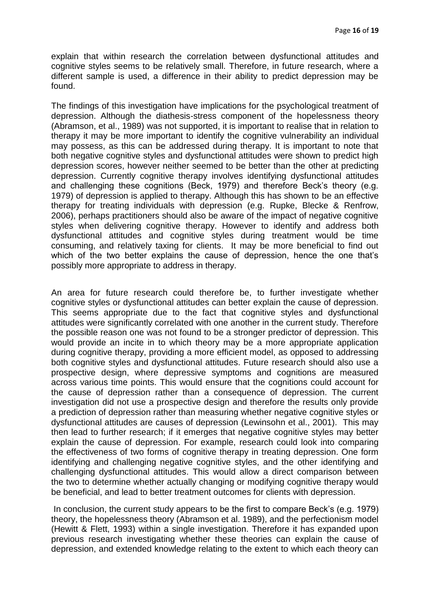explain that within research the correlation between dysfunctional attitudes and cognitive styles seems to be relatively small. Therefore, in future research, where a different sample is used, a difference in their ability to predict depression may be found.

The findings of this investigation have implications for the psychological treatment of depression. Although the diathesis-stress component of the hopelessness theory (Abramson, et al., 1989) was not supported, it is important to realise that in relation to therapy it may be more important to identify the cognitive vulnerability an individual may possess, as this can be addressed during therapy. It is important to note that both negative cognitive styles and dysfunctional attitudes were shown to predict high depression scores, however neither seemed to be better than the other at predicting depression. Currently cognitive therapy involves identifying dysfunctional attitudes and challenging these cognitions (Beck, 1979) and therefore Beck's theory (e.g. 1979) of depression is applied to therapy. Although this has shown to be an effective therapy for treating individuals with depression (e.g. Rupke, Blecke & Renfrow, 2006), perhaps practitioners should also be aware of the impact of negative cognitive styles when delivering cognitive therapy. However to identify and address both dysfunctional attitudes and cognitive styles during treatment would be time consuming, and relatively taxing for clients. It may be more beneficial to find out which of the two better explains the cause of depression, hence the one that's possibly more appropriate to address in therapy.

An area for future research could therefore be, to further investigate whether cognitive styles or dysfunctional attitudes can better explain the cause of depression. This seems appropriate due to the fact that cognitive styles and dysfunctional attitudes were significantly correlated with one another in the current study. Therefore the possible reason one was not found to be a stronger predictor of depression. This would provide an incite in to which theory may be a more appropriate application during cognitive therapy, providing a more efficient model, as opposed to addressing both cognitive styles and dysfunctional attitudes. Future research should also use a prospective design, where depressive symptoms and cognitions are measured across various time points. This would ensure that the cognitions could account for the cause of depression rather than a consequence of depression. The current investigation did not use a prospective design and therefore the results only provide a prediction of depression rather than measuring whether negative cognitive styles or dysfunctional attitudes are causes of depression (Lewinsohn et al., 2001). This may then lead to further research; if it emerges that negative cognitive styles may better explain the cause of depression. For example, research could look into comparing the effectiveness of two forms of cognitive therapy in treating depression. One form identifying and challenging negative cognitive styles, and the other identifying and challenging dysfunctional attitudes. This would allow a direct comparison between the two to determine whether actually changing or modifying cognitive therapy would be beneficial, and lead to better treatment outcomes for clients with depression.

In conclusion, the current study appears to be the first to compare Beck's (e.g. 1979) theory, the hopelessness theory (Abramson et al. 1989), and the perfectionism model (Hewitt & Flett, 1993) within a single investigation. Therefore it has expanded upon previous research investigating whether these theories can explain the cause of depression, and extended knowledge relating to the extent to which each theory can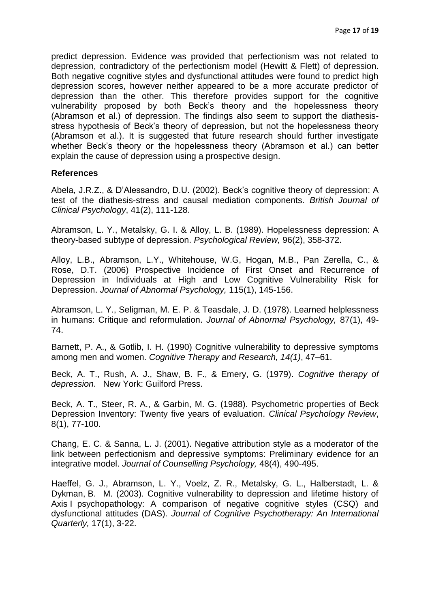predict depression. Evidence was provided that perfectionism was not related to depression, contradictory of the perfectionism model (Hewitt & Flett) of depression. Both negative cognitive styles and dysfunctional attitudes were found to predict high depression scores, however neither appeared to be a more accurate predictor of depression than the other. This therefore provides support for the cognitive vulnerability proposed by both Beck's theory and the hopelessness theory (Abramson et al.) of depression. The findings also seem to support the diathesisstress hypothesis of Beck's theory of depression, but not the hopelessness theory (Abramson et al.). It is suggested that future research should further investigate whether Beck's theory or the hopelessness theory (Abramson et al.) can better explain the cause of depression using a prospective design.

#### **References**

Abela, J.R.Z., & D'Alessandro, D.U. (2002). Beck's cognitive theory of depression: A test of the diathesis-stress and causal mediation components. *British Journal of Clinical Psychology*, 41(2), 111-128.

Abramson, L. Y., Metalsky, G. I. & Alloy, L. B. (1989). Hopelessness depression: A theory-based subtype of depression. *Psychological Review,* 96(2), 358-372.

Alloy, L.B., Abramson, L.Y., Whitehouse, W.G, Hogan, M.B., Pan Zerella, C., & Rose, D.T. (2006) Prospective Incidence of First Onset and Recurrence of Depression in Individuals at High and Low Cognitive Vulnerability Risk for Depression. *Journal of Abnormal Psychology,* 115(1), 145-156.

Abramson, L. Y., Seligman, M. E. P. & Teasdale, J. D. (1978). Learned helplessness in humans: Critique and reformulation. *Journal of Abnormal Psychology,* 87(1), 49- 74.

Barnett, P. A., & Gotlib, I. H. (1990) Cognitive vulnerability to depressive symptoms among men and women. *Cognitive Therapy and Research, 14(1)*, 47–61.

Beck, A. T., Rush, A. J., Shaw, B. F., & Emery, G. (1979). *Cognitive therapy of depression*. New York: Guilford Press.

Beck, A. T., Steer, R. A., & Garbin, M. G. (1988). Psychometric properties of Beck Depression Inventory: Twenty five years of evaluation. *Clinical Psychology Review*, 8(1), 77-100.

Chang, E. C. & Sanna, L. J. (2001). Negative attribution style as a moderator of the link between perfectionism and depressive symptoms: Preliminary evidence for an integrative model. *Journal of Counselling Psychology,* 48(4), 490-495.

Haeffel, G. J., Abramson, L. Y., Voelz, Z. R., Metalsky, G. L., Halberstadt, L. & Dykman, B. M. (2003). Cognitive vulnerability to depression and lifetime history of Axis I psychopathology: A comparison of negative cognitive styles (CSQ) and dysfunctional attitudes (DAS). *Journal of Cognitive Psychotherapy: An International Quarterly,* 17(1), 3-22.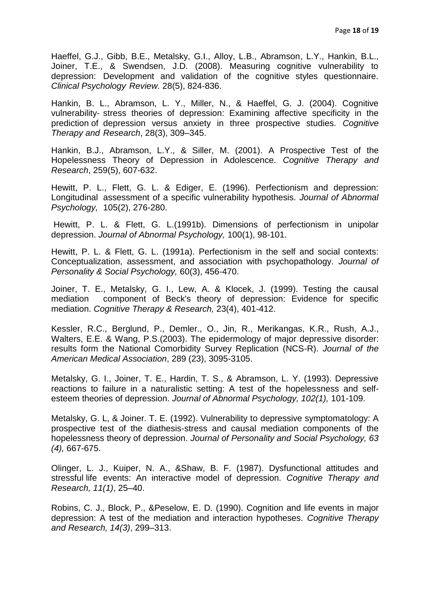Haeffel, G.J., Gibb, B.E., Metalsky, G.I., Alloy, L.B., Abramson, L.Y., Hankin, B.L., Joiner, T.E., & Swendsen, J.D. (2008). Measuring cognitive vulnerability to depression: Development and validation of the cognitive styles questionnaire. *Clinical Psychology Review.* 28(5), 824-836.

Hankin, B. L., Abramson, L. Y., Miller, N., & Haeffel, G. J. (2004). Cognitive vulnerability- stress theories of depression: Examining affective specificity in the prediction of depression versus anxiety in three prospective studies. *Cognitive Therapy and Research*, 28(3), 309–345.

Hankin, B.J., Abramson, L.Y., & Siller, M. (2001). A Prospective Test of the Hopelessness Theory of Depression in Adolescence. *[Cognitive Therapy and](http://www.springerlink.com/content/0147-5916/)  [Research](http://www.springerlink.com/content/0147-5916/)*, [259\(5\)](http://www.springerlink.com/content/0147-5916/25/5/), 607-632.

Hewitt, P. L., Flett, G. L. & Ediger, E. (1996). Perfectionism and depression: Longitudinal assessment of a specific vulnerability hypothesis. *Journal of Abnormal Psychology,* 105(2), 276-280.

Hewitt, P. L. & Flett, G. L.(1991b). Dimensions of perfectionism in unipolar depression. *Journal of Abnormal Psychology,* 100(1), 98-101.

Hewitt, P. L. & Flett, G. L. (1991a). Perfectionism in the self and social contexts: Conceptualization, assessment, and association with psychopathology. *Journal of Personality & Social Psychology,* 60(3), 456-470.

Joiner, T. E., Metalsky, G. I., Lew, A. & Klocek, J. (1999). Testing the causal mediation component of Beck's theory of depression: Evidence for specific mediation. *Cognitive Therapy & Research,* 23(4), 401-412.

Kessler, R.C., Berglund, P., Demler., O., Jin, R., Merikangas, K.R., Rush, A.J., Walters, E.E. & Wang, P.S.(2003). The epidermology of major depressive disorder: results form the National Comorbidity Survey Replication (NCS-R). *Journal of the American Medical Association*, 289 (23), 3095-3105.

Metalsky, G. I., Joiner, T. E., Hardin, T. S., & Abramson, L. Y. (1993). Depressive reactions to failure in a naturalistic setting: A test of the hopelessness and selfesteem theories of depression. *Journal of Abnormal Psychology, 102(1),* 101-109.

Metalsky, G. L, & Joiner. T. E. (1992). Vulnerability to depressive symptomatology: A prospective test of the diathesis-stress and causal mediation components of the hopelessness theory of depression. *Journal of Personality and Social Psychology, 63 (4),* 667-675.

Olinger, L. J., Kuiper, N. A., &Shaw, B. F. (1987). Dysfunctional attitudes and stressful life events: An interactive model of depression. *Cognitive Therapy and Research, 11(1)*, 25–40.

Robins, C. J., Block, P., &Peselow, E. D. (1990). Cognition and life events in major depression: A test of the mediation and interaction hypotheses. *Cognitive Therapy and Research, 14(3)*, 299–313.